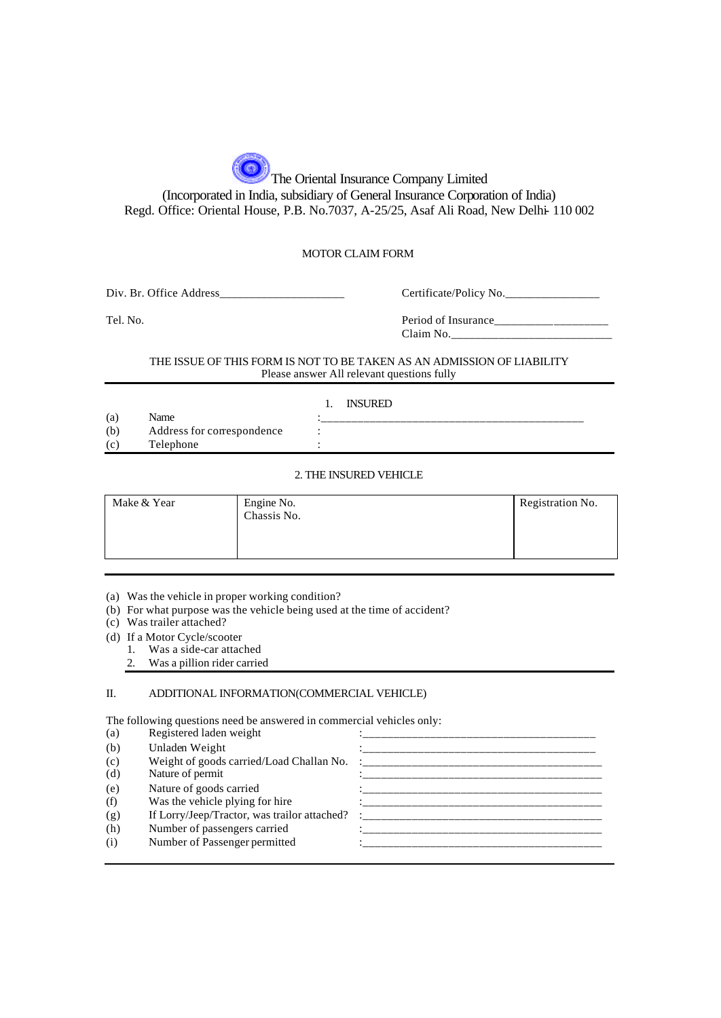The Oriental Insurance Company Limited (Incorporated in India, subsidiary of General Insurance Corporation of India) Regd. Office: Oriental House, P.B. No.7037, A-25/25, Asaf Ali Road, New Delhi- 110 002

#### MOTOR CLAIM FORM

Div. Br. Office Address\_\_\_\_\_\_\_\_\_\_\_\_\_\_\_\_\_\_\_\_\_ Certificate/Policy No.\_\_\_\_\_\_\_\_\_\_\_\_\_\_\_\_

Tel. No. Period of Insurance\_\_\_\_\_\_\_\_\_\_\_\_\_\_\_\_\_\_\_ Claim No.\_\_\_\_\_\_\_\_\_\_\_\_\_\_\_\_\_\_\_\_\_\_\_\_\_\_\_

#### THE ISSUE OF THIS FORM IS NOT TO BE TAKEN AS AN ADMISSION OF LIABILITY Please answer All relevant questions fully

1. INSURED

(a) Name  $\vdots$  .  $\vdots$  .  $\vdots$  .  $\vdots$  .  $\vdots$  .  $\vdots$  .  $\vdots$  .  $\vdots$  .  $\vdots$  .  $\vdots$  .  $\vdots$  .  $\vdots$  .  $\vdots$  .  $\vdots$  .  $\vdots$  .  $\vdots$  .  $\vdots$  .  $\vdots$  .  $\vdots$  .  $\vdots$  .  $\vdots$  .  $\vdots$  .  $\vdots$  .  $\vdots$  .  $\vdots$  .  $\vdots$  .  $\vdots$ (b) Address for correspondence : (c) Telephone

#### 2. THE INSURED VEHICLE

| Make & Year | Engine No.<br>Chassis No. | Registration No. |
|-------------|---------------------------|------------------|
|-------------|---------------------------|------------------|

(a) Was the vehicle in proper working condition?

(b) For what purpose was the vehicle being used at the time of accident?

(c) Was trailer attached?

(d) If a Motor Cycle/scooter

1. Was a side-car attached

2. Was a pillion rider carried

### II. ADDITIONAL INFORMATION(COMMERCIAL VEHICLE)

The following questions need be answered in commercial vehicles only:

| (a) | Registered laden weight                      |  |
|-----|----------------------------------------------|--|
| (b) | Unladen Weight                               |  |
| (c) | Weight of goods carried/Load Challan No.     |  |
| (d) | Nature of permit                             |  |
| (e) | Nature of goods carried                      |  |
| (f) | Was the vehicle plying for hire              |  |
| (g) | If Lorry/Jeep/Tractor, was trailor attached? |  |
| (h) | Number of passengers carried                 |  |
| (i) | Number of Passenger permitted                |  |
|     |                                              |  |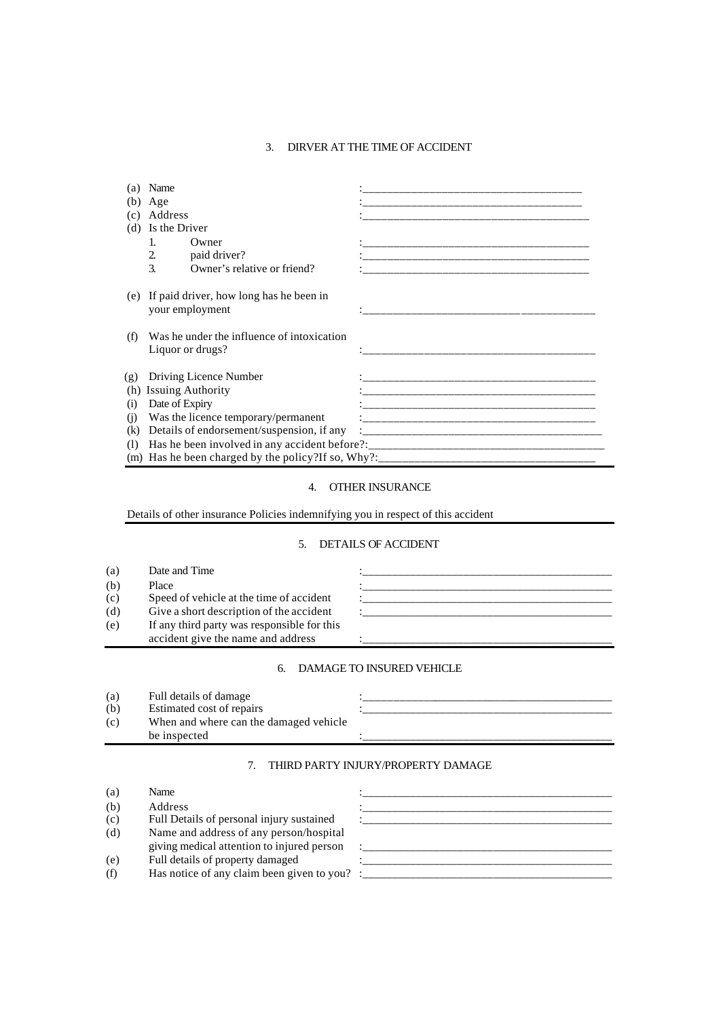## 3. DIRVER AT THE TIME OF ACCIDENT

| (a)               | Name                                                           |                                                                                                                       |
|-------------------|----------------------------------------------------------------|-----------------------------------------------------------------------------------------------------------------------|
| (b)               | Age                                                            | <u> 1989 - Jan James James James James James James James James James James James James James James James James J</u>  |
| (c)               | Address                                                        | <u> 1989 - Johann John Stein, markin am deutscher Stein und der Stein und der Stein und der Stein und der Stein u</u> |
| (d)               | Is the Driver                                                  |                                                                                                                       |
|                   | $\mathbf{1}$<br>Owner                                          |                                                                                                                       |
|                   | 2.<br>paid driver?                                             |                                                                                                                       |
|                   | 3.<br>Owner's relative or friend?                              |                                                                                                                       |
| (e)               | If paid driver, how long has he been in<br>your employment     |                                                                                                                       |
| (f)               | Was he under the influence of intoxication<br>Liquor or drugs? | __________________________________                                                                                    |
| (g)               | Driving Licence Number                                         |                                                                                                                       |
| (h)               | <b>Issuing Authority</b>                                       | ___________________________________                                                                                   |
| $\left( i\right)$ | Date of Expiry                                                 |                                                                                                                       |
| (i)               | Was the licence temporary/permanent                            |                                                                                                                       |
| (k)               | Details of endorsement/suspension, if any                      |                                                                                                                       |
| (I)               |                                                                |                                                                                                                       |
|                   |                                                                |                                                                                                                       |

# 4. OTHER INSURANCE

Details of other insurance Policies indemnifying you in respect of this accident

## 5. DETAILS OF ACCIDENT

| (a) | Date and Time                               |  |
|-----|---------------------------------------------|--|
| (b) | Place                                       |  |
| (c) | Speed of vehicle at the time of accident    |  |
| (d) | Give a short description of the accident    |  |
| (e) | If any third party was responsible for this |  |
|     | accident give the name and address          |  |

# 6. DAMAGE TO INSURED VEHICLE

| (a) | Full details of damage                 |  |
|-----|----------------------------------------|--|
| (b) | Estimated cost of repairs              |  |
| (c) | When and where can the damaged vehicle |  |
|     | be inspected                           |  |
|     |                                        |  |

## 7. THIRD PARTY INJURY/PROPERTY DAMAGE

| (a) | Name                                                    |  |
|-----|---------------------------------------------------------|--|
| (b) | Address                                                 |  |
| (c) | Full Details of personal injury sustained               |  |
| (d) | Name and address of any person/hospital                 |  |
|     | giving medical attention to injured person              |  |
| (e) | Full details of property damaged                        |  |
| (f) | Has notice of any claim been given to you? $\therefore$ |  |
|     |                                                         |  |